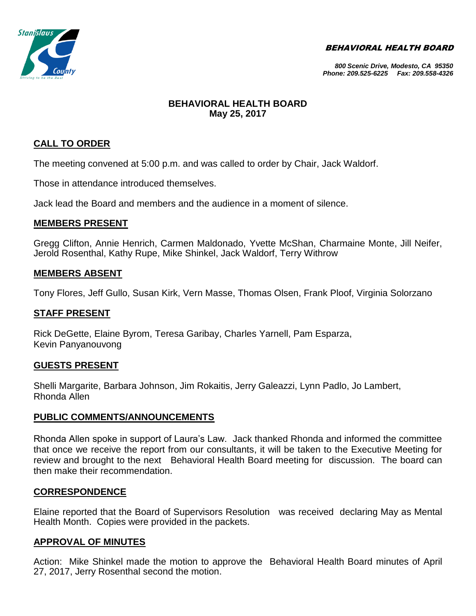BEHAVIORAL HEALTH BOARD



#### *800 Scenic Drive, Modesto, CA 95350 Phone: 209.525-6225 Fax: 209.558-4326*

# **BEHAVIORAL HEALTH BOARD May 25, 2017**

# **CALL TO ORDER**

The meeting convened at 5:00 p.m. and was called to order by Chair, Jack Waldorf.

Those in attendance introduced themselves.

Jack lead the Board and members and the audience in a moment of silence.

# **MEMBERS PRESENT**

Gregg Clifton, Annie Henrich, Carmen Maldonado, Yvette McShan, Charmaine Monte, Jill Neifer, Jerold Rosenthal, Kathy Rupe, Mike Shinkel, Jack Waldorf, Terry Withrow

# **MEMBERS ABSENT**

Tony Flores, Jeff Gullo, Susan Kirk, Vern Masse, Thomas Olsen, Frank Ploof, Virginia Solorzano

## **STAFF PRESENT**

Rick DeGette, Elaine Byrom, Teresa Garibay, Charles Yarnell, Pam Esparza, Kevin Panyanouvong

## **GUESTS PRESENT**

Shelli Margarite, Barbara Johnson, Jim Rokaitis, Jerry Galeazzi, Lynn Padlo, Jo Lambert, Rhonda Allen

## **PUBLIC COMMENTS/ANNOUNCEMENTS**

Rhonda Allen spoke in support of Laura's Law. Jack thanked Rhonda and informed the committee that once we receive the report from our consultants, it will be taken to the Executive Meeting for review and brought to the next Behavioral Health Board meeting for discussion. The board can then make their recommendation.

## **CORRESPONDENCE**

Elaine reported that the Board of Supervisors Resolution was received declaring May as Mental Health Month. Copies were provided in the packets.

# **APPROVAL OF MINUTES**

Action: Mike Shinkel made the motion to approve the Behavioral Health Board minutes of April 27, 2017, Jerry Rosenthal second the motion.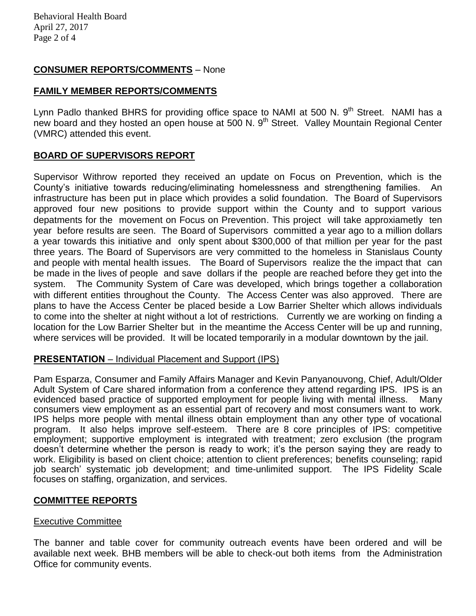Behavioral Health Board April 27, 2017 Page 2 of 4

# **CONSUMER REPORTS/COMMENTS** – None

## **FAMILY MEMBER REPORTS/COMMENTS**

Lynn Padlo thanked BHRS for providing office space to NAMI at 500 N. 9<sup>th</sup> Street. NAMI has a new board and they hosted an open house at 500 N. 9<sup>th</sup> Street. Valley Mountain Regional Center (VMRC) attended this event.

# **BOARD OF SUPERVISORS REPORT**

Supervisor Withrow reported they received an update on Focus on Prevention, which is the County's initiative towards reducing/eliminating homelessness and strengthening families. An infrastructure has been put in place which provides a solid foundation. The Board of Supervisors approved four new positions to provide support within the County and to support various depatments for the movement on Focus on Prevention. This project will take approxiametly ten year before results are seen. The Board of Supervisors committed a year ago to a million dollars a year towards this initiative and only spent about \$300,000 of that million per year for the past three years. The Board of Supervisors are very committed to the homeless in Stanislaus County and people with mental health issues. The Board of Supervisors realize the the impact that can be made in the lives of people and save dollars if the people are reached before they get into the system. The Community System of Care was developed, which brings together a collaboration with different entities throughout the County. The Access Center was also approved. There are plans to have the Access Center be placed beside a Low Barrier Shelter which allows individuals to come into the shelter at night without a lot of restrictions. Currently we are working on finding a location for the Low Barrier Shelter but in the meantime the Access Center will be up and running, where services will be provided. It will be located temporarily in a modular downtown by the jail.

## **PRESENTATION** – Individual Placement and Support (IPS)

Pam Esparza, Consumer and Family Affairs Manager and Kevin Panyanouvong, Chief, Adult/Older Adult System of Care shared information from a conference they attend regarding IPS. IPS is an evidenced based practice of supported employment for people living with mental illness. Many consumers view employment as an essential part of recovery and most consumers want to work. IPS helps more people with mental illness obtain employment than any other type of vocational program. It also helps improve self-esteem. There are 8 core principles of IPS: competitive employment; supportive employment is integrated with treatment; zero exclusion (the program doesn't determine whether the person is ready to work; it's the person saying they are ready to work. Eligibility is based on client choice; attention to client preferences; benefits counseling; rapid job search' systematic job development; and time-unlimited support. The IPS Fidelity Scale focuses on staffing, organization, and services.

## **COMMITTEE REPORTS**

#### Executive Committee

The banner and table cover for community outreach events have been ordered and will be available next week. BHB members will be able to check-out both items from the Administration Office for community events.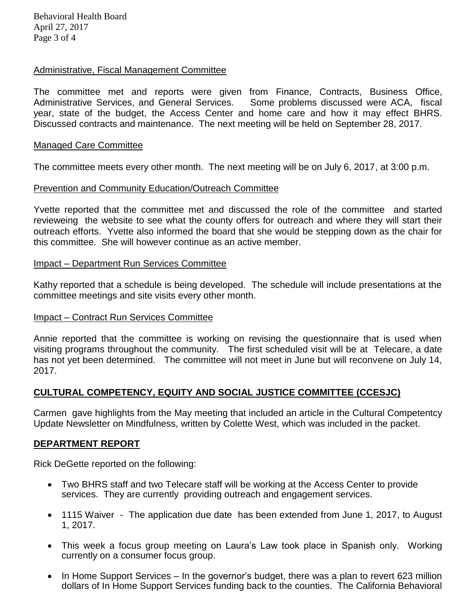Behavioral Health Board April 27, 2017 Page 3 of 4

#### Administrative, Fiscal Management Committee

The committee met and reports were given from Finance, Contracts, Business Office, Administrative Services, and General Services. Some problems discussed were ACA, fiscal year, state of the budget, the Access Center and home care and how it may effect BHRS. Discussed contracts and maintenance. The next meeting will be held on September 28, 2017.

#### Managed Care Committee

The committee meets every other month. The next meeting will be on July 6, 2017, at 3:00 p.m.

#### Prevention and Community Education/Outreach Committee

Yvette reported that the committee met and discussed the role of the committee and started revieweing the website to see what the county offers for outreach and where they will start their outreach efforts. Yvette also informed the board that she would be stepping down as the chair for this committee. She will however continue as an active member.

#### Impact – Department Run Services Committee

Kathy reported that a schedule is being developed. The schedule will include presentations at the committee meetings and site visits every other month.

#### Impact – Contract Run Services Committee

Annie reported that the committee is working on revising the questionnaire that is used when visiting programs throughout the community. The first scheduled visit will be at Telecare, a date has not yet been determined. The committee will not meet in June but will reconvene on July 14, 2017.

## **CULTURAL COMPETENCY, EQUITY AND SOCIAL JUSTICE COMMITTEE (CCESJC)**

Carmen gave highlights from the May meeting that included an article in the Cultural Competentcy Update Newsletter on Mindfulness, written by Colette West, which was included in the packet.

#### **DEPARTMENT REPORT**

Rick DeGette reported on the following:

- Two BHRS staff and two Telecare staff will be working at the Access Center to provide services. They are currently providing outreach and engagement services.
- 1115 Waiver The application due date has been extended from June 1, 2017, to August 1, 2017.
- This week a focus group meeting on Laura's Law took place in Spanish only. Working currently on a consumer focus group.
- In Home Support Services In the governor's budget, there was a plan to revert 623 million dollars of In Home Support Services funding back to the counties. The California Behavioral